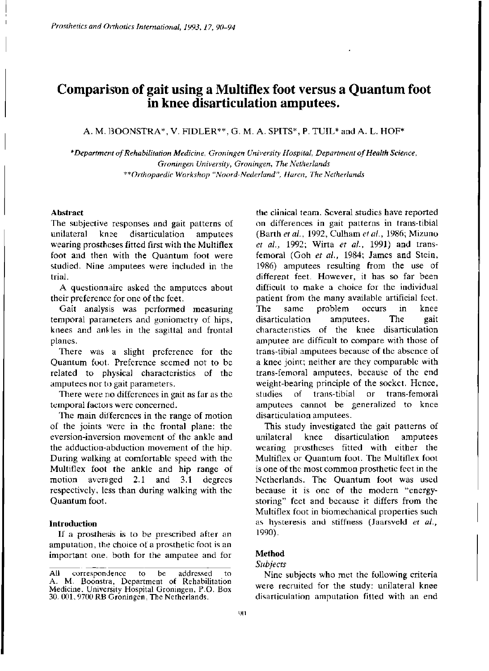# **Comparison of gait using a Multiflex foot versus a Quantum foot in knee disarticulation amputees.**

## A. M. BOONSTRA\*, V. FIDLER\*\*, G. M. A. SPITS\*, P. TUIL\* and A. L. HOF\*

*\* Department of Rehabilitation Medicine, Groningen University Hospital, Department of Health Science, Groningen University, Groningen, The Netherlands \*\*Orthopaedic Workshop "Noord-Nederland", Haren, The Netherlands* 

#### **Abstract**

The subjective responses and gait patterns of unilateral knee disarticulation amputees wearing prostheses fitted first with the Multiflex foot and then with the Quantum foot were studied. Nine amputees were included in the trial.

A questionnaire asked the amputees about their preference for one of the feet.

Gait analysis was performed measuring temporal parameters and goniometry of hips, knees and ankles in the sagittal and frontal planes.

There was a slight preference for the Quantum foot. Preference seemed not to be related to physical characteristics of the amputees nor to gait parameters.

There were no differences in gait as far as the temporal factors were concerned.

The main differences in the range of motion of the joints were in the frontal plane: the eversion-inversion movement of the ankle and the adduction-abduction movement of the hip. During walking at comfortable speed with the Multiflex foot the ankle and hip range of motion averaged 2.1 and 3.1 degrees respectively, less than during walking with the Quantum foot.

#### **Introduction**

If a prosthesis is to be prescribed after an amputation, the choice of a prosthetic foot is an important one, both for the amputee and for the clinical team. Several studies have reported on differences in gait patterns in trans-tibial (Barth *et al.,* 1992, Culham *et al.,* 1986; Mizuno *et al.,* 1992; Wirta *et al.,* 1991) and transfemoral (Goh *et al.,* 1984; James and Stein, 1986) amputees resulting from the use of different feet. However, it has so far been difficult to make a choice for the individual patient from the many available artificial feet. The same problem occurs in knee disarticulation amputees. The gait characteristics of the knee disarticulation amputee are difficult to compare with those of trans-tibial amputees because of the absence of a knee joint; neither are they comparable with trans-femoral amputees, because of the end weight-bearing principle of the socket. Hence, studies of trans-tibial or trans-femoral amputees cannot be generalized to knee disarticulation amputees.

This study investigated the gait patterns of unilateral knee disarticulation amputees wearing prostheses fitted with either the Multiflex or Quantum foot. The Multiflex foot is one of the most common prosthetic feet in the Netherlands. The Quantum foot was used because it is one of the modern "energystoring" feet and because it differs from the Multiflex foot in biomechanical properties such as hysteresis and stiffness (Jaarsveld e*t al.,*  1990).

# **Method**

## *Subjects*

Nine subjects who met the following criteria were recruited for the study: unilateral knee disarticulation amputation fitted with an end

All correspondence to be addressed to A. M. Boonstia, Department of Rehabilitation Medicine, University Hospital Groningen, P.O. Box 30. 001, 9700 RB Groningen, The Netherlands.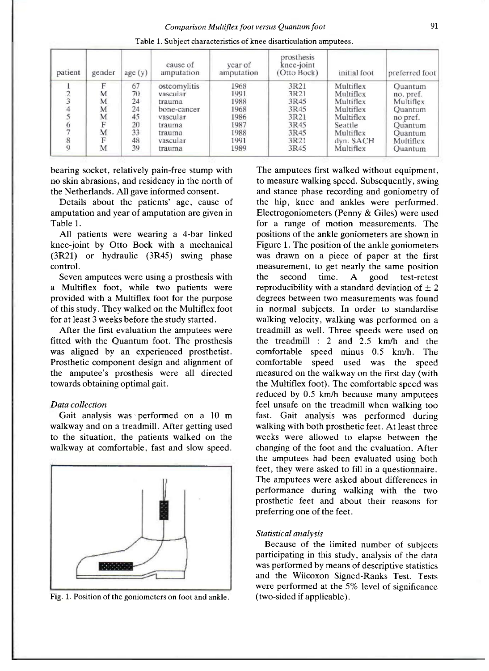| patient | gender | age(y) | cause of<br>amputation | year of<br>amputation | prosthesis<br>knee-joint<br>(Otto Bock) | initial foot | preferred foot |
|---------|--------|--------|------------------------|-----------------------|-----------------------------------------|--------------|----------------|
|         |        | 67     | osteomylitis           | 1968                  | 3R21                                    | Multiflex    | Quantum        |
|         | M      | 70     | vascular               | 1991                  | 3R21                                    | Multiflex    | no. pref.      |
|         | M      | 24     | trauma                 | 1988                  | 3R45                                    | Multiflex    | Multiflex      |
|         | M      | 24     | bone-cancer            | 1968                  | 3R45                                    | Multiflex    | <b>Ouantum</b> |
|         | M      | 45     | vascular               | 1986                  | 3R21                                    | Multiflex    | no pref.       |
|         |        | 20     | trauma                 | 1987                  | 3R45                                    | Seattle      | Quantum        |
|         | M      | 33     | trauma                 | 1988                  | 3R45                                    | Multiflex    | Quantum        |
|         | F      | 48     | vascular               | 1991                  | 3R21                                    | dyn. SACH    | Multiflex      |
|         | M      | 39     | trauma                 | 1989                  | 3R45                                    | Multiflex    | <b>Ouantum</b> |

Table 1. Subject characteristics of knee disarticulation amputees.

bearing socket, relatively pain-free stump with no skin abrasions, and residency in the north of the Netherlands. All gave informed consent.

Details about the patients' age, cause of amputation and year of amputation are given in Table 1.

All patients were wearing a 4-bar linked knee-joint by Otto Bock with a mechanical (3R21) or hydraulic (3R45) swing phase control.

Seven amputees were using a prosthesis with a Multiflex foot, while two patients were provided with a Multiflex foot for the purpose of this study. They walked on the Multiflex foot for at least 3 weeks before the study started.

After the first evaluation the amputees were fitted with the Quantum foot. The prosthesis was aligned by an experienced prosthetist. Prosthetic component design and alignment of the amputee's prosthesis were all directed towards obtaining optimal gait.

### *Data collection*

Gait analysis was - performed on a 10 m walkway and on a treadmill. After getting used to the situation, the patients walked on the walkway at comfortable, fast and slow speed.



Fig. 1. Position of the goniometers on foot and ankle.

The amputees first walked without equipment, to measure walking speed. Subsequently, swing and stance phase recording and goniometry of the hip, knee and ankles were performed. Electrogoniometers (Penny & Giles) were used for a range of motion measurements. The positions of the ankle goniometers are shown in Figure 1. The position of the ankle goniometers was drawn on a piece of paper at the first measurement, to get nearly the same position the second time. A good test-retest reproducibility with a standard deviation of  $\pm 2$ degrees between two measurements was found in normal subjects. In order to standardise walking velocity, walking was performed on a treadmill as well. Three speeds were used on the treadmill : 2 and 2.5 km/h and the comfortable speed minus 0.5 km/h. The comfortable speed used was the speed measured on the walkway on the first day (with the Multiflex foot). The comfortable speed was reduced by 0.5 km/h because many amputees feel unsafe on the treadmill when walking too fast. Gait analysis was performed during walking with both prosthetic feet. At least three weeks were allowed to elapse between the changing of the foot and the evaluation. After the amputees had been evaluated using both feet, they were asked to fill in a questionnaire. The amputees were asked about differences in performance during walking with the two prosthetic feet and about their reasons for preferring one of the feet.

#### *Statistical analysis*

Because of the limited number of subjects participating in this study, analysis of the data was performed by means of descriptive statistics and the Wilcoxon Signed-Ranks Test. Tests were performed at the 5% level of significance (two-sided if applicable).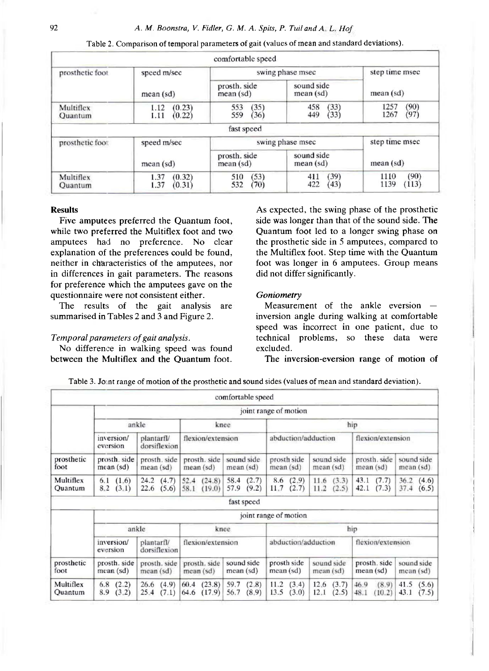|                      |                                  | comfortable speed          |                            |                              |  |
|----------------------|----------------------------------|----------------------------|----------------------------|------------------------------|--|
| prosthetic foot      | speed m/sec                      | swing phase msec           | step time msec             |                              |  |
|                      | mean (sd)                        | prosth. side<br>mean(sd)   | sound side<br>mean (sd)    | mean (sd)                    |  |
| Multiflex<br>Quantum | (0.23)<br>1.12<br>(0.22)<br>1.11 | (35)<br>553<br>559<br>(36) | (33)<br>458<br>(33)<br>449 | (90)<br>1257<br>(97)<br>1267 |  |
|                      |                                  | fast speed                 |                            |                              |  |
| prosthetic foot      | speed m/sec                      | swing phase msec           | step time msec             |                              |  |
|                      | mean (sd)                        | prosth. side<br>mean (sd)  | sound side<br>mean (sd)    | mean (sd)                    |  |
| Multiflex<br>Quantum | (0.32)<br>1.37<br>1.37<br>(0.31) | (53)<br>510<br>532<br>(70) | (39)<br>411<br>422<br>(43) | (90)<br>1110<br>1139<br>113) |  |

Table 2. Comparison of temporal parameters of gait (values of mean and standard deviations).

#### **Results**

Five amputees preferred the Quantum foot, while two preferred the Multiflex foot and two amputees had no preference. No clear explanation of the preferences could be found, neither in characteristics of the amputees, nor in differences in gait parameters. The reasons for preference which the amputees gave on the questionnaire were not consistent either.

The results of the gait analysis are summarised in Tables 2 and 3 and Figure 2.

#### *Temporal parameters of gait analysis.*

No difference in walking speed was found between the Multiflex and the Quantum foot. As expected, the swing phase of the prosthetic side was longer than that of the sound side. The Quantum foot led to a longer swing phase on the prosthetic side in 5 amputees, compared to the Multiflex foot. Step time with the Quantum foot was longer in 6 amputees. Group means did not differ significantly.

#### *Goniometry*

Measurement of the ankle eversion inversion angle during walking at comfortable speed was incorrect in one patient, due to technical problems, so these data were excluded.

The inversion-eversion range of motion of

|                      |                                                      |                                |                                   | comfortable speed              |                                |                                |                                 |                                |  |
|----------------------|------------------------------------------------------|--------------------------------|-----------------------------------|--------------------------------|--------------------------------|--------------------------------|---------------------------------|--------------------------------|--|
|                      | joint range of motion                                |                                |                                   |                                |                                |                                |                                 |                                |  |
|                      |                                                      | ankle                          | knee                              |                                | hip                            |                                |                                 |                                |  |
|                      | inversion/<br>eversion                               |                                | flexion/extension<br>dorsiflexion |                                | abduction/adduction            |                                | flexion/extension               |                                |  |
| prosthetic<br>foot   | prosth. side<br>mean(sd)                             | prosth, side<br>mean(sd)       | prosth. side<br>$mean$ (sd)       | sound side<br>mean(sd)         | prosth side<br>mean(sd)        | sound side<br>mean(sd)         | prosth. side<br>mean(sd)        | sound side<br>mean(sd)         |  |
| Multiflex<br>Quantum | (1.6)<br>6.1<br>(3.1)<br>8.2                         | 24.2<br>(4.7)<br>22.6<br>(5.6) | 52.4<br>(24.8)<br>58.1<br>(19.0)  | (2.7)<br>58.4<br>57.9<br>(9.2) | (2.9)<br>8.6<br>11.7<br>(2.7)  | 11.6(3.3)<br>11.2<br>(2.5)     | (7.7)<br>43.1<br>42.1<br>(7.3)  | 36.2<br>(4.6)<br>37.4<br>(6.5) |  |
|                      |                                                      |                                |                                   | fast speed                     |                                |                                |                                 |                                |  |
|                      | joint range of motion                                |                                |                                   |                                |                                |                                |                                 |                                |  |
|                      |                                                      | ankle                          | knee                              |                                | hip                            |                                |                                 |                                |  |
|                      | inversion/<br>plantarfl/<br>dorsiflexion<br>eversion |                                | flexion/extension                 |                                | abduction/adduction            |                                | flexion/extension               |                                |  |
| prosthetic<br>foot   | prosth. side<br>mean(sd)                             | prosth. side<br>mean (sd)      | prosth. side<br>mean(sd)          | sound side<br>mean(sd)         | prosth side<br>mean (sd)       | sound side<br>mean(sd)         | prosth. side<br>mean(sd)        | sound side<br>mean (sd)        |  |
| Multiflex<br>Ouantum | (2.2)<br>6.8<br>(3.2)<br>8.9                         | (4.9)<br>26.6<br>25.4<br>(7.1) | (23.8)<br>60.4<br>(17.9)<br>64.6  | (2.8)<br>59.7<br>56.7<br>(8.9) | 11.2<br>(3.4)<br>13.5<br>(3.0) | (3.7)<br>12.6<br>12.1<br>(2.5) | (8.9)<br>46.9<br>48.1<br>(10.2) | 41.5<br>(5.6)<br>43.1<br>(7.5) |  |

Table 3. Joint range of motion of the prosthetic and sound sides (values of mean and standard deviation).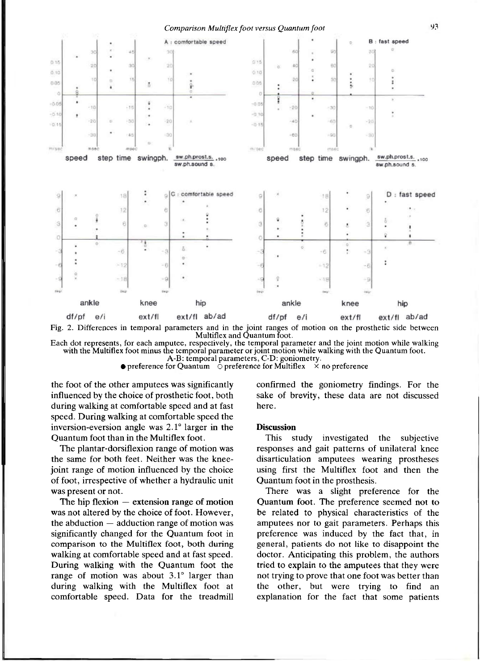

Fig. 2. Differences in temporal parameters and in the joint ranges of motion on the prosthetic side between Multiflex and Quantum foot.

Each dot represents, for each amputee, respectively, the temporal parameter and the joint motion while walking with the Multiflex foot minus the temporal parameter or joint motion while walking with the Quantum foot.

A-B: temporal parameters, C-D: goniometry.

• preference for Quantum  $\circ$  preference for Multiflex  $\times$  no preference

the foot of the other amputees was significantly influenced by the choice of prosthetic foot, both during walking at comfortable speed and at fast speed. During walking at comfortable speed the inversion-eversion angle was 2.1° larger in the Quantum foot than in the Multiflex foot.

The plantar-dorsiflexion range of motion was the same for both feet. Neither was the kneejoint range of motion influenced by the choice of foot, irrespective of whether a hydraulic unit was present or not.

The hip flexion  $-$  extension range of motion was not altered by the choice of foot. However, the abduction — adduction range of motion was significantly changed for the Quantum foot in comparison to the Multiflex foot, both during walking at comfortable speed and at fast speed. During walking with the Quantum foot the range of motion was about 3.1° larger than during walking with the Multiflex foot at comfortable speed. Data for the treadmill

confirmed the goniometry findings. For the sake of brevity, these data are not discussed here.

#### **Discussion**

This study investigated the subjective responses and gait patterns of unilateral knee disarticulation amputees wearing prostheses using first the Multiflex foot and then the Quantum foot in the prosthesis.

There was a slight preference for the Quantum foot. The preference seemed not to be related to physical characteristics of the amputees nor to gait parameters. Perhaps this preference was induced by the fact that, in general, patients do not like to disappoint the doctor. Anticipating this problem, the authors tried to explain to the amputees that they were not trying to prove that one foot was better than the other, but were trying to find an explanation for the fact that some patients